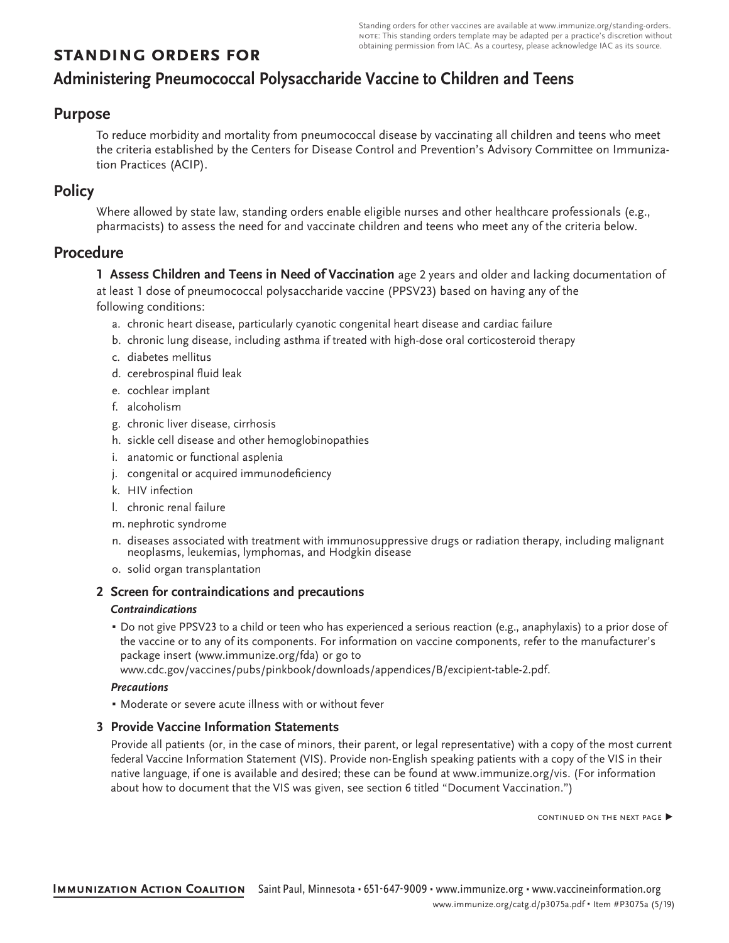## **standing orders for**

# **Administering Pneumococcal Polysaccharide Vaccine to Children and Teens**

### **Purpose**

To reduce morbidity and mortality from pneumococcal disease by vaccinating all children and teens who meet the criteria established by the Centers for Disease Control and Prevention's Advisory Committee on Immunization Practices (ACIP).

### **Policy**

Where allowed by state law, standing orders enable eligible nurses and other healthcare professionals (e.g., pharmacists) to assess the need for and vaccinate children and teens who meet any of the criteria below.

### **Procedure**

**1 Assess Children and Teens in Need of Vaccination** age 2 years and older and lacking documentation of at least 1 dose of pneumococcal polysaccharide vaccine (PPSV23) based on having any of the

following conditions:

- a. chronic heart disease, particularly cyanotic congenital heart disease and cardiac failure
- b. chronic lung disease, including asthma if treated with high-dose oral corticosteroid therapy
- c. diabetes mellitus
- d. cerebrospinal fluid leak
- e. cochlear implant
- f. alcoholism
- g. chronic liver disease, cirrhosis
- h. sickle cell disease and other hemoglobinopathies
- i. anatomic or functional asplenia
- j. congenital or acquired immunodeficiency
- k. HIV infection
- l. chronic renal failure
- m. nephrotic syndrome
- n. diseases associated with treatment with immunosuppressive drugs or radiation therapy, including malignant neoplasms, leukemias, lymphomas, and Hodgkin disease
- o. solid organ transplantation

#### **2 Screen for contraindications and precautions**

#### *Contraindications*

▪ Do not give PPSV23 to a child or teen who has experienced a serious reaction (e.g., anaphylaxis) to a prior dose of the vaccine or to any of its components. For information on vaccine components, refer to the manufacturer's package insert (www.immunize.org/fda) or go to

www.cdc.gov/vaccines/pubs/pinkbook/downloads/appendices/B/excipient-table-2.pdf.

#### *Precautions*

▪ Moderate or severe acute illness with or without fever

#### **3 Provide Vaccine Information Statements**

Provide all patients (or, in the case of minors, their parent, or legal representative) with a copy of the most current federal Vaccine Information Statement (VIS). Provide non-English speaking patients with a copy of the VIS in their native language, if one is available and desired; these can be found at www.immunize.org/vis. (For information about how to document that the VIS was given, see section 6 titled "Document Vaccination.")

CONTINUED ON THE NEXT PAGE ▶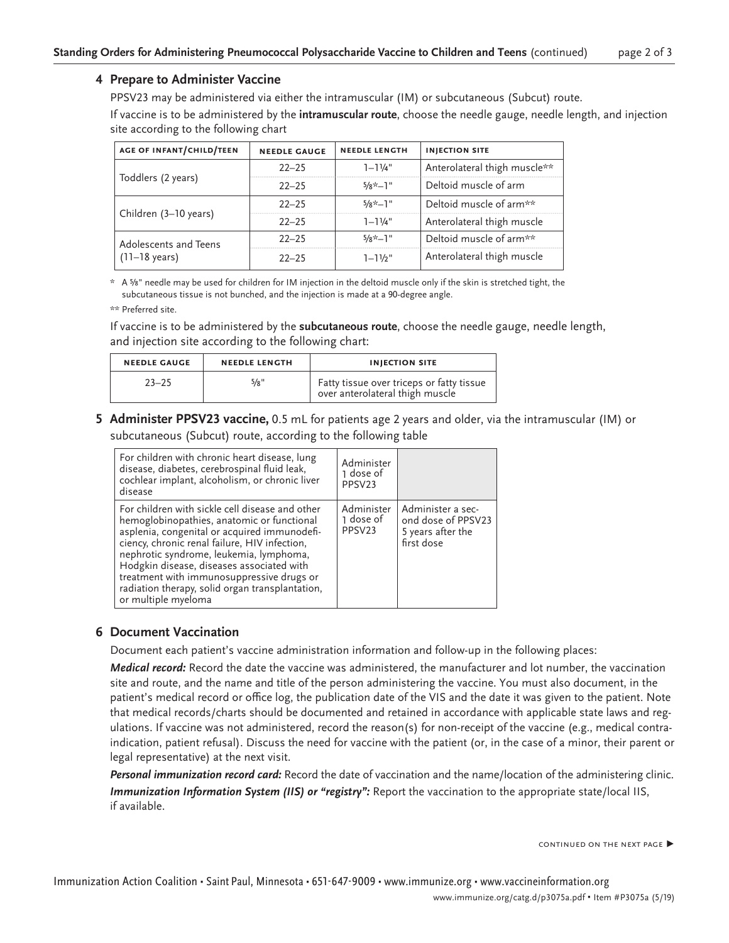#### **4 Prepare to Administer Vaccine**

PPSV23 may be administered via either the intramuscular (IM) or subcutaneous (Subcut) route. If vaccine is to be administered by the **intramuscular route**, choose the needle gauge, needle length, and injection site according to the following chart

| <b>AGE OF INFANT/CHILD/TEEN</b>                  | <b>NEEDLE GAUGE</b> | <b>NEEDLE LENGTH</b> | <b>INJECTION SITE</b>        |
|--------------------------------------------------|---------------------|----------------------|------------------------------|
|                                                  | $22 - 25$           | $1 - 11/4$ "         | Anterolateral thigh muscle** |
| Toddlers (2 years)                               | $22 - 25$           | $5/x^*$ -1"          | Deltoid muscle of arm        |
| Children (3-10 years)                            | $22 - 25$           | $5/8 \times -1$ "    | Deltoid muscle of arm**      |
|                                                  | $22 - 25$           | $1 - 11/4$ "         | Anterolateral thigh muscle   |
| Adolescents and Teens<br>$(11-18 \text{ years})$ | $22 - 25$           | $5/8 \times -1$ "    | Deltoid muscle of arm**      |
|                                                  | $22 - 25$           | $1 - 11/2$ "         | Anterolateral thigh muscle   |

\* A ⅝" needle may be used for children for IM injection in the deltoid muscle only if the skin is stretched tight, the subcutaneous tissue is not bunched, and the injection is made at a 90-degree angle.

If vaccine is to be administered by the **subcutaneous route**, choose the needle gauge, needle length, and injection site according to the following chart:

| <b>NEEDLE GAUGE</b> | <b>NEEDLE LENGTH</b> | <b>INJECTION SITE</b>                                                        |  |
|---------------------|----------------------|------------------------------------------------------------------------------|--|
| $23 - 25$           | 5/8"                 | Fatty tissue over triceps or fatty tissue<br>over anterolateral thigh muscle |  |

**5 Administer PPSV23 vaccine,** 0.5 mL for patients age 2 years and older, via the intramuscular (IM) or subcutaneous (Subcut) route, according to the following table

| For children with chronic heart disease, lung<br>disease, diabetes, cerebrospinal fluid leak,<br>cochlear implant, alcoholism, or chronic liver<br>disease                                                                                                                                                                                                                                                    | Administer<br>1 dose of<br>PPSV <sub>23</sub> |                                                                            |
|---------------------------------------------------------------------------------------------------------------------------------------------------------------------------------------------------------------------------------------------------------------------------------------------------------------------------------------------------------------------------------------------------------------|-----------------------------------------------|----------------------------------------------------------------------------|
| For children with sickle cell disease and other<br>hemoglobinopathies, anatomic or functional<br>asplenia, congenital or acquired immunodefi-<br>ciency, chronic renal failure, HIV infection,<br>nephrotic syndrome, leukemia, lymphoma,<br>Hodgkin disease, diseases associated with<br>treatment with immunosuppressive drugs or<br>radiation therapy, solid organ transplantation,<br>or multiple myeloma | Administer<br>1 dose of<br>PPSV23             | Administer a sec-<br>ond dose of PPSV23<br>5 years after the<br>first dose |

#### **6 Document Vaccination**

Document each patient's vaccine administration information and follow-up in the following places:

*Medical record:* Record the date the vaccine was administered, the manufacturer and lot number, the vaccination site and route, and the name and title of the person administering the vaccine. You must also document, in the patient's medical record or office log, the publication date of the VIS and the date it was given to the patient. Note that medical records/charts should be documented and retained in accordance with applicable state laws and regulations. If vaccine was not administered, record the reason(s) for non-receipt of the vaccine (e.g., medical contraindication, patient refusal). Discuss the need for vaccine with the patient (or, in the case of a minor, their parent or legal representative) at the next visit.

*Personal immunization record card:* Record the date of vaccination and the name/location of the administering clinic. *Immunization Information System (IIS) or "registry":* Report the vaccination to the appropriate state/local IIS, if available.

CONTINUED ON THE NEXT PAGE ▶

<sup>\*\*</sup> Preferred site.